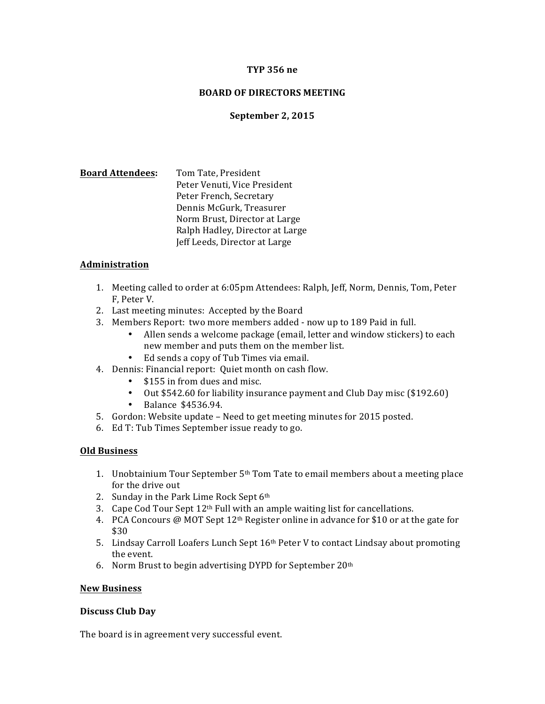# **TYP 356 ne**

# **BOARD OF DIRECTORS MEETING**

# **September 2, 2015**

**Board Attendees:** Tom Tate, President Peter Venuti, Vice President Peter French, Secretary Dennis McGurk, Treasurer Norm Brust, Director at Large Ralph Hadley, Director at Large Jeff Leeds, Director at Large

### **Administration**

- 1. Meeting called to order at 6:05pm Attendees: Ralph, Jeff, Norm, Dennis, Tom, Peter F. Peter V.
- 2. Last meeting minutes: Accepted by the Board
- 3. Members Report: two more members added now up to 189 Paid in full.
	- Allen sends a welcome package (email, letter and window stickers) to each new member and puts them on the member list.
	- Ed sends a copy of Tub Times via email.
- 4. Dennis: Financial report: Quiet month on cash flow.
	- \$155 in from dues and misc.
	- Out \$542.60 for liability insurance payment and Club Day misc (\$192.60)
	- Balance \$4536.94.
- 5. Gordon: Website update Need to get meeting minutes for 2015 posted.
- 6. Ed T: Tub Times September issue ready to go.

#### **Old Business**

- 1. Unobtainium Tour September  $5<sup>th</sup>$  Tom Tate to email members about a meeting place for the drive out
- 2. Sunday in the Park Lime Rock Sept  $6<sup>th</sup>$
- 3. Cape Cod Tour Sept  $12<sup>th</sup>$  Full with an ample waiting list for cancellations.
- 4. PCA Concours @ MOT Sept  $12<sup>th</sup>$  Register online in advance for \$10 or at the gate for \$30
- 5. Lindsay Carroll Loafers Lunch Sept 16<sup>th</sup> Peter V to contact Lindsay about promoting the event.
- 6. Norm Brust to begin advertising DYPD for September  $20<sup>th</sup>$

### **New Business**

#### **Discuss Club Day**

The board is in agreement very successful event.